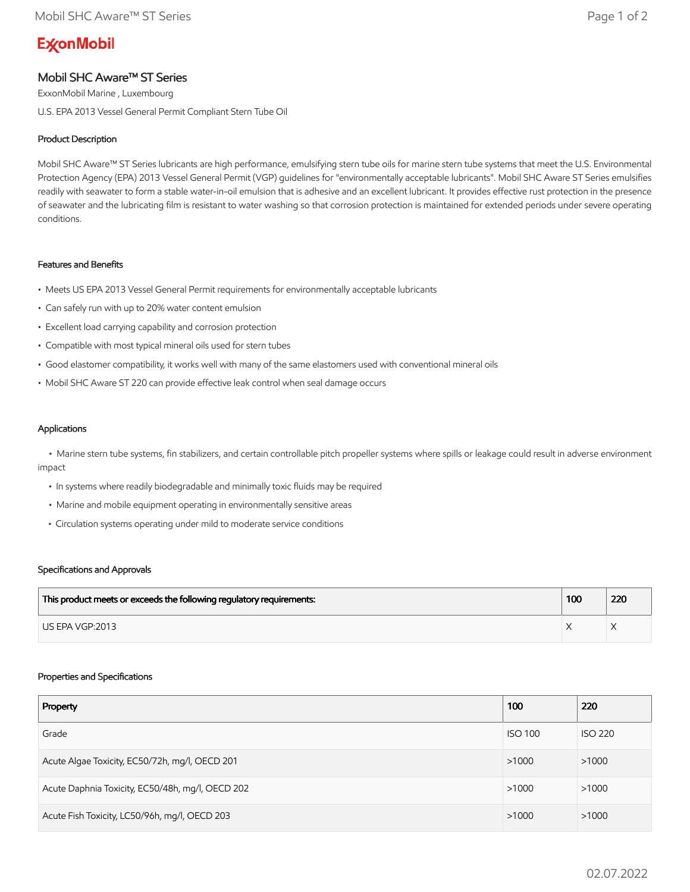# **ExconMobil**

## Mobil SHC Aware™ ST Series

ExxonMobil Marine , Luxembourg U.S. EPA 2013 Vessel General Permit Compliant Stern Tube Oil

### Product Description

Mobil SHC Aware™ ST Series lubricants are high performance, emulsifying stern tube oils for marine stern tube systems that meet the U.S. Environmental Protection Agency (EPA) 2013 Vessel General Permit (VGP) guidelines for "environmentally acceptable lubricants". Mobil SHC Aware ST Series emulsifies readily with seawater to form a stable water-in-oil emulsion that is adhesive and an excellent lubricant. It provides effective rust protection in the presence of seawater and the lubricating film is resistant to water washing so that corrosion protection is maintained for extended periods under severe operating conditions.

#### Features and Benefits

- Meets US EPA 2013 Vessel General Permit requirements for environmentally acceptable lubricants
- Can safely run with up to 20% water content emulsion
- Excellent load carrying capability and corrosion protection
- Compatible with most typical mineral oils used for stern tubes
- Good elastomer compatibility, it works well with many of the same elastomers used with conventional mineral oils
- Mobil SHC Aware ST 220 can provide effective leak control when seal damage occurs

#### Applications

 • Marine stern tube systems, fin stabilizers, and certain controllable pitch propeller systems where spills or leakage could result in adverse environment impact

- In systems where readily biodegradable and minimally toxic fluids may be required
- Marine and mobile equipment operating in environmentally sensitive areas
- Circulation systems operating under mild to moderate service conditions

#### Specifications and Approvals

| This product meets or exceeds the following regulatory requirements: | 100 | 220 |
|----------------------------------------------------------------------|-----|-----|
| LIS EPA VGP:2013                                                     |     |     |

#### Properties and Specifications

| Property                                         | 100            | 220            |
|--------------------------------------------------|----------------|----------------|
| Grade                                            | <b>ISO 100</b> | <b>ISO 220</b> |
| Acute Algae Toxicity, EC50/72h, mg/l, OECD 201   | >1000          | >1000          |
| Acute Daphnia Toxicity, EC50/48h, mg/l, OECD 202 | >1000          | >1000          |
| Acute Fish Toxicity, LC50/96h, mg/l, OECD 203    | >1000          | >1000          |